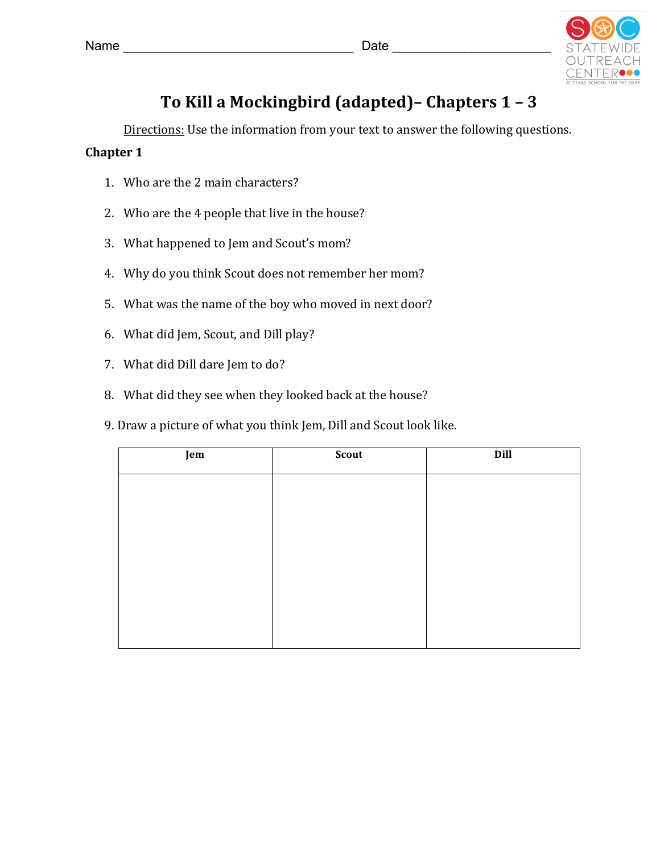

## **To Kill a Mockingbird (adapted)– Chapters 1 – 3**

Directions: Use the information from your text to answer the following questions.

## **Chapter 1**

- 1. Who are the 2 main characters?
- 2. Who are the 4 people that live in the house?
- 3. What happened to Jem and Scout's mom?
- 4. Why do you think Scout does not remember her mom?
- 5. What was the name of the boy who moved in next door?
- 6. What did Jem, Scout, and Dill play?
- 7. What did Dill dare Jem to do?
- 8. What did they see when they looked back at the house?
- 9. Draw a picture of what you think Jem, Dill and Scout look like.

| Jem | Scout | Dill |
|-----|-------|------|
|     |       |      |
|     |       |      |
|     |       |      |
|     |       |      |
|     |       |      |
|     |       |      |
|     |       |      |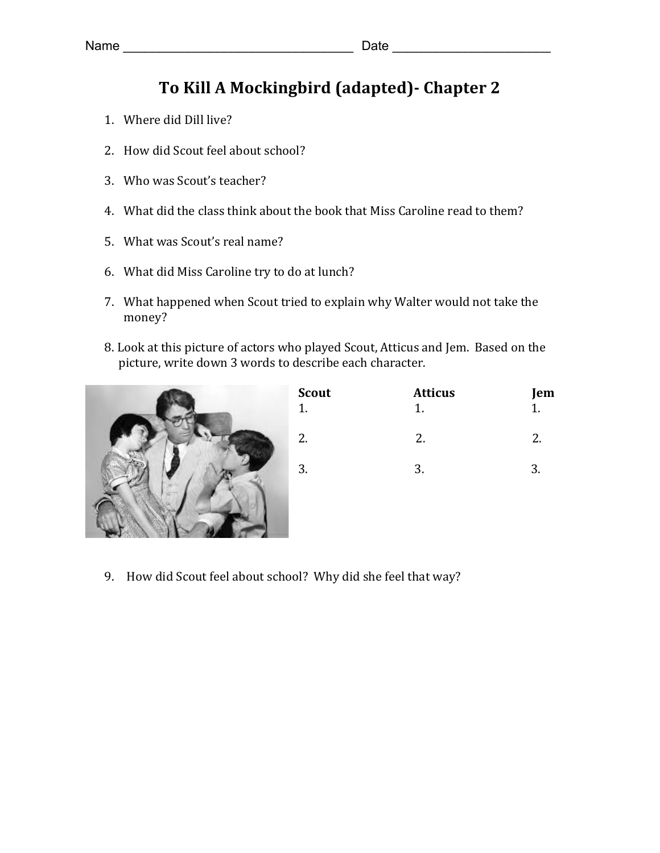## To Kill A Mockingbird (adapted) - Chapter 2

- 1. Where did Dill live?
- 2. How did Scout feel about school?
- 3. Who was Scout's teacher?
- 4. What did the class think about the book that Miss Caroline read to them?
- 5. What was Scout's real name?
- 6. What did Miss Caroline try to do at lunch?
- 7. What happened when Scout tried to explain why Walter would not take the money?
- 8. Look at this picture of actors who played Scout, Atticus and Jem. Based on the picture, write down 3 words to describe each character.



| <b>Atticus</b> | Jem |
|----------------|-----|
| 2.             | 2.  |
| 3.             | 3.  |
|                |     |

9. How did Scout feel about school? Why did she feel that way?